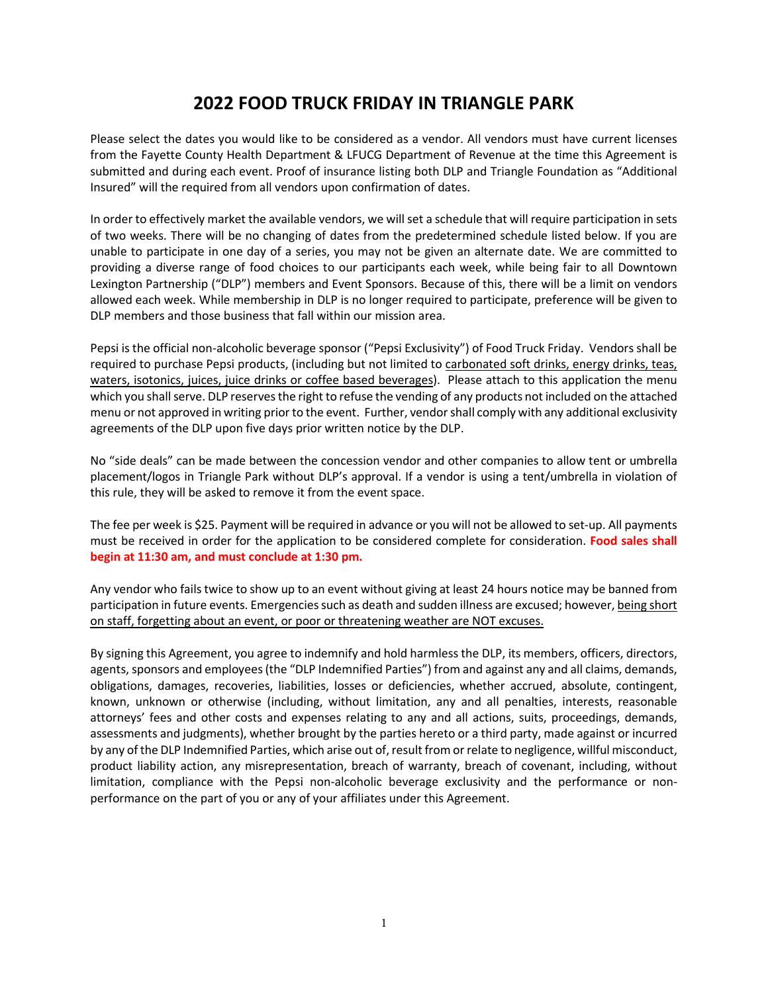## **2022 FOOD TRUCK FRIDAY IN TRIANGLE PARK**

Please select the dates you would like to be considered as a vendor. All vendors must have current licenses from the Fayette County Health Department & LFUCG Department of Revenue at the time this Agreement is submitted and during each event. Proof of insurance listing both DLP and Triangle Foundation as "Additional Insured" will the required from all vendors upon confirmation of dates.

In order to effectively market the available vendors, we will set a schedule that will require participation in sets of two weeks. There will be no changing of dates from the predetermined schedule listed below. If you are unable to participate in one day of a series, you may not be given an alternate date. We are committed to providing a diverse range of food choices to our participants each week, while being fair to all Downtown Lexington Partnership ("DLP") members and Event Sponsors. Because of this, there will be a limit on vendors allowed each week. While membership in DLP is no longer required to participate, preference will be given to DLP members and those business that fall within our mission area.

Pepsi is the official non-alcoholic beverage sponsor ("Pepsi Exclusivity") of Food Truck Friday. Vendors shall be required to purchase Pepsi products, (including but not limited to carbonated soft drinks, energy drinks, teas, waters, isotonics, juices, juice drinks or coffee based beverages). Please attach to this application the menu which you shall serve. DLP reserves the right to refuse the vending of any products not included on the attached menu or not approved in writing prior to the event. Further, vendor shall comply with any additional exclusivity agreements of the DLP upon five days prior written notice by the DLP.

No "side deals" can be made between the concession vendor and other companies to allow tent or umbrella placement/logos in Triangle Park without DLP's approval. If a vendor is using a tent/umbrella in violation of this rule, they will be asked to remove it from the event space.

The fee per week is \$25. Payment will be required in advance or you will not be allowed to set-up. All payments must be received in order for the application to be considered complete for consideration. **Food sales shall begin at 11:30 am, and must conclude at 1:30 pm.** 

Any vendor who fails twice to show up to an event without giving at least 24 hours notice may be banned from participation in future events. Emergencies such as death and sudden illness are excused; however, being short on staff, forgetting about an event, or poor or threatening weather are NOT excuses.

By signing this Agreement, you agree to indemnify and hold harmless the DLP, its members, officers, directors, agents, sponsors and employees (the "DLP Indemnified Parties") from and against any and all claims, demands, obligations, damages, recoveries, liabilities, losses or deficiencies, whether accrued, absolute, contingent, known, unknown or otherwise (including, without limitation, any and all penalties, interests, reasonable attorneys' fees and other costs and expenses relating to any and all actions, suits, proceedings, demands, assessments and judgments), whether brought by the parties hereto or a third party, made against or incurred by any of the DLP Indemnified Parties, which arise out of, result from or relate to negligence, willful misconduct, product liability action, any misrepresentation, breach of warranty, breach of covenant, including, without limitation, compliance with the Pepsi non-alcoholic beverage exclusivity and the performance or nonperformance on the part of you or any of your affiliates under this Agreement.